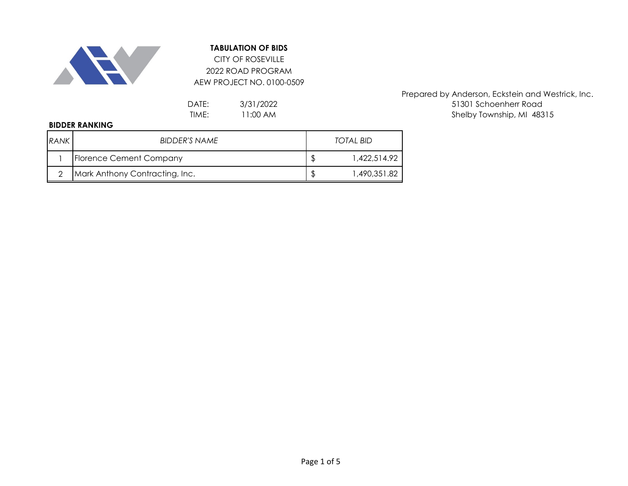

## **TABULATION OF BIDS**

2022 ROAD PROGRAM AEW PROJECT NO. 0100-0509 CITY OF ROSEVILLE

> 3/31/2022 11:00 AM

Prepared by Anderson, Eckstein and Westrick, Inc. DATE: 3/31/2022 3/31/2022 51301 Schoenherr Road TIME: 11:00 AM and the state of the Shelby Township, MI 48315

## **BIDDER RANKING**

| <b>RANK</b> | BIDDER'S NAME                  | TOTAL BID |              |  |
|-------------|--------------------------------|-----------|--------------|--|
|             | Florence Cement Company        |           | 1.422.514.92 |  |
|             | Mark Anthony Contracting, Inc. |           | 1,490,351.82 |  |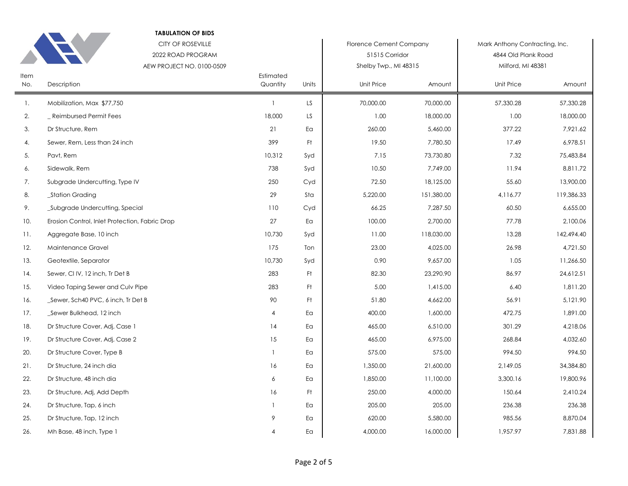|             | <b>TABULATION OF BIDS</b><br><b>CITY OF ROSEVILLE</b> |                       |       | <b>Florence Cement Company</b> |            | Mark Anthony Contracting, Inc. |            |
|-------------|-------------------------------------------------------|-----------------------|-------|--------------------------------|------------|--------------------------------|------------|
|             | 2022 ROAD PROGRAM                                     |                       |       | 51515 Corridor                 |            | 4844 Old Plank Road            |            |
|             | AEW PROJECT NO. 0100-0509                             |                       |       | Shelby Twp., MI 48315          |            | Milford, MI 48381              |            |
| Item<br>No. | Description                                           | Estimated<br>Quantity | Units | Unit Price                     | Amount     | Unit Price                     | Amount     |
| 1.          | Mobilization, Max \$77,750                            | $\overline{1}$        | LS.   | 70,000.00                      | 70,000.00  | 57,330.28                      | 57,330.28  |
| 2.          | Reimbursed Permit Fees                                | 18,000                | LS.   | 1.00                           | 18,000.00  | 1.00                           | 18,000.00  |
| 3.          | Dr Structure, Rem                                     | 21                    | Ea    | 260.00                         | 5,460.00   | 377.22                         | 7,921.62   |
| 4.          | Sewer, Rem, Less than 24 inch                         | 399                   | Ft    | 19.50                          | 7,780.50   | 17.49                          | 6,978.51   |
| 5.          | Pavt, Rem                                             | 10,312                | Syd   | 7.15                           | 73,730.80  | 7.32                           | 75,483.84  |
| 6.          | Sidewalk, Rem                                         | 738                   | Syd   | 10.50                          | 7,749.00   | 11.94                          | 8,811.72   |
| 7.          | Subgrade Undercutting, Type IV                        | 250                   | Cyd   | 72.50                          | 18,125.00  | 55.60                          | 13,900.00  |
| 8.          | _Station Grading                                      | 29                    | Sta   | 5,220.00                       | 151,380.00 | 4,116.77                       | 119,386.33 |
| 9.          | Subgrade Undercutting, Special                        | 110                   | Cyd   | 66.25                          | 7,287.50   | 60.50                          | 6,655.00   |
| 10.         | Erosion Control, Inlet Protection, Fabric Drop        | 27                    | Ea    | 100.00                         | 2,700.00   | 77.78                          | 2,100.06   |
| 11.         | Aggregate Base, 10 inch                               | 10,730                | Syd   | 11.00                          | 118,030.00 | 13.28                          | 142,494.40 |
| 12.         | Maintenance Gravel                                    | 175                   | Ton   | 23.00                          | 4,025.00   | 26.98                          | 4,721.50   |
| 13.         | Geotextile, Separator                                 | 10,730                | Syd   | 0.90                           | 9,657.00   | 1.05                           | 11,266.50  |
| 14.         | Sewer, CI IV, 12 inch, Tr Det B                       | 283                   | Ft.   | 82.30                          | 23,290.90  | 86.97                          | 24,612.51  |
| 15.         | Video Taping Sewer and Culv Pipe                      | 283                   | Ft    | 5.00                           | 1,415.00   | 6.40                           | 1,811.20   |
| 16.         | _Sewer, Sch40 PVC, 6 inch, Tr Det B                   | 90                    | Ft    | 51.80                          | 4,662.00   | 56.91                          | 5,121.90   |
| 17.         | _Sewer Bulkhead, 12 inch                              | $\overline{4}$        | Ea    | 400.00                         | 1,600.00   | 472.75                         | 1,891.00   |
| 18.         | Dr Structure Cover, Adj, Case 1                       | 14                    | Ea    | 465.00                         | 6,510.00   | 301.29                         | 4,218.06   |
| 19.         | Dr Structure Cover, Adj, Case 2                       | 15                    | Ea    | 465.00                         | 6,975.00   | 268.84                         | 4,032.60   |
| 20.         | Dr Structure Cover, Type B                            | $\overline{1}$        | Eα    | 575.00                         | 575.00     | 994.50                         | 994.50     |
| 21.         | Dr Structure, 24 inch dia                             | 16                    | Ea    | 1,350.00                       | 21,600.00  | 2,149.05                       | 34,384.80  |
| 22.         | Dr Structure, 48 inch dia                             | 6                     | Ea    | 1,850.00                       | 11,100.00  | 3,300.16                       | 19,800.96  |
| 23.         | Dr Structure, Adj, Add Depth                          | 16                    | Ft.   | 250.00                         | 4,000.00   | 150.64                         | 2,410.24   |
| 24.         | Dr Structure, Tap, 6 inch                             | $\overline{1}$        | Eα    | 205.00                         | 205.00     | 236.38                         | 236.38     |
| 25.         | Dr Structure, Tap, 12 inch                            | 9                     | Ea    | 620.00                         | 5,580.00   | 985.56                         | 8,870.04   |
| 26.         | Mh Base, 48 inch, Type 1                              | $\overline{4}$        | Ea    | 4,000.00                       | 16,000.00  | 1,957.97                       | 7,831.88   |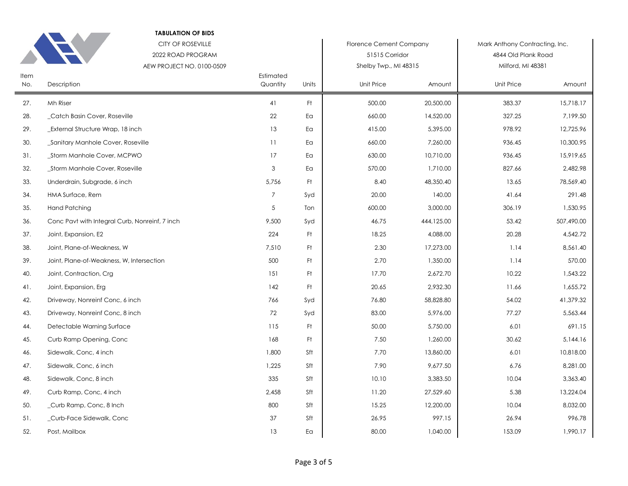|             | <b>TABULATION OF BIDS</b><br><b>CITY OF ROSEVILLE</b><br>2022 ROAD PROGRAM<br>AEW PROJECT NO. 0100-0509 |                       |       | <b>Florence Cement Company</b><br>51515 Corridor<br>Shelby Twp., MI 48315 |            | Mark Anthony Contracting, Inc.<br>4844 Old Plank Road<br>Milford, MI 48381 |            |
|-------------|---------------------------------------------------------------------------------------------------------|-----------------------|-------|---------------------------------------------------------------------------|------------|----------------------------------------------------------------------------|------------|
| Item<br>No. | Description                                                                                             | Estimated<br>Quantity | Units | Unit Price                                                                | Amount     | Unit Price                                                                 | Amount     |
| 27.         | Mh Riser                                                                                                | 41                    | Ft.   | 500.00                                                                    | 20,500.00  | 383.37                                                                     | 15,718.17  |
| 28.         | Catch Basin Cover, Roseville                                                                            | 22                    | Eα    | 660.00                                                                    | 14,520.00  | 327.25                                                                     | 7,199.50   |
| 29.         | External Structure Wrap, 18 inch                                                                        | 13                    | Ea    | 415.00                                                                    | 5,395.00   | 978.92                                                                     | 12,725.96  |
| 30.         | Sanitary Manhole Cover, Roseville                                                                       | 11                    | Ea    | 660.00                                                                    | 7,260.00   | 936.45                                                                     | 10,300.95  |
| 31.         | _Storm Manhole Cover, MCPWO                                                                             | 17                    | Ea    | 630.00                                                                    | 10,710.00  | 936.45                                                                     | 15,919.65  |
| 32.         | _Storm Manhole Cover, Roseville                                                                         | $\mathbf{3}$          | Ea    | 570.00                                                                    | 1,710.00   | 827.66                                                                     | 2,482.98   |
| 33.         | Underdrain, Subgrade, 6 inch                                                                            | 5,756                 | Ft.   | 8.40                                                                      | 48,350.40  | 13.65                                                                      | 78,569.40  |
| 34.         | HMA Surface, Rem                                                                                        | $\overline{7}$        | Syd   | 20.00                                                                     | 140.00     | 41.64                                                                      | 291.48     |
| 35.         | <b>Hand Patching</b>                                                                                    | $\sqrt{5}$            | Ton   | 600.00                                                                    | 3,000.00   | 306.19                                                                     | 1,530.95   |
| 36.         | Conc Pavt with Integral Curb, Nonreinf, 7 inch                                                          | 9,500                 | Syd   | 46.75                                                                     | 444,125.00 | 53.42                                                                      | 507,490.00 |
| 37.         | Joint, Expansion, E2                                                                                    | 224                   | Ft.   | 18.25                                                                     | 4,088.00   | 20.28                                                                      | 4,542.72   |
| 38.         | Joint, Plane-of-Weakness, W                                                                             | 7,510                 | Ft    | 2.30                                                                      | 17,273.00  | 1.14                                                                       | 8,561.40   |
| 39.         | Joint, Plane-of-Weakness, W, Intersection                                                               | 500                   | Ft.   | 2.70                                                                      | 1,350.00   | 1.14                                                                       | 570.00     |
| 40.         | Joint, Contraction, Crg                                                                                 | 151                   | Ft.   | 17.70                                                                     | 2,672.70   | 10.22                                                                      | 1,543.22   |
| 41.         | Joint, Expansion, Erg                                                                                   | 142                   | Ft.   | 20.65                                                                     | 2,932.30   | 11.66                                                                      | 1,655.72   |
| 42.         | Driveway, Nonreinf Conc, 6 inch                                                                         | 766                   | Syd   | 76.80                                                                     | 58,828.80  | 54.02                                                                      | 41,379.32  |
| 43.         | Driveway, Nonreinf Conc, 8 inch                                                                         | 72                    | Syd   | 83.00                                                                     | 5,976.00   | 77.27                                                                      | 5,563.44   |
| 44.         | Detectable Warning Surface                                                                              | 115                   | Ft    | 50.00                                                                     | 5,750.00   | 6.01                                                                       | 691.15     |
| 45.         | Curb Ramp Opening, Conc                                                                                 | 168                   | Ft    | 7.50                                                                      | 1,260.00   | 30.62                                                                      | 5,144.16   |
| 46.         | Sidewalk, Conc, 4 inch                                                                                  | 1,800                 | Sft   | 7.70                                                                      | 13,860.00  | 6.01                                                                       | 10,818.00  |
| 47.         | Sidewalk, Conc, 6 inch                                                                                  | 1,225                 | Sft   | 7.90                                                                      | 9,677.50   | 6.76                                                                       | 8,281.00   |
| 48.         | Sidewalk, Conc, 8 inch                                                                                  | 335                   | Sft   | 10.10                                                                     | 3,383.50   | 10.04                                                                      | 3,363.40   |
| 49.         | Curb Ramp, Conc, 4 inch                                                                                 | 2,458                 | Sft   | 11.20                                                                     | 27,529.60  | 5.38                                                                       | 13,224.04  |
| 50.         | _Curb Ramp, Conc, 8 Inch                                                                                | 800                   | Sft   | 15.25                                                                     | 12,200.00  | 10.04                                                                      | 8,032.00   |
| 51.         | Curb-Face Sidewalk, Conc                                                                                | 37                    | Sft   | 26.95                                                                     | 997.15     | 26.94                                                                      | 996.78     |
| 52.         | Post, Mailbox                                                                                           | 13                    | Ea    | 80.00                                                                     | 1,040.00   | 153.09                                                                     | 1,990.17   |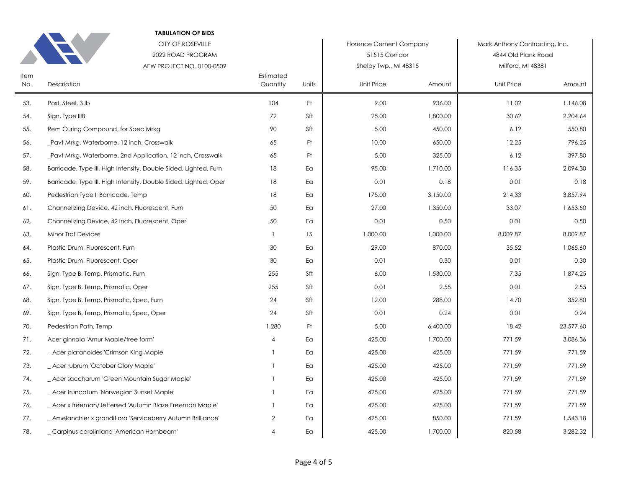| <b>TABULATION OF BIDS</b><br><b>CITY OF ROSEVILLE</b><br>2022 ROAD PROGRAM<br>AEW PROJECT NO. 0100-0509 |                                                                  |                       |       | <b>Florence Cement Company</b><br>51515 Corridor<br>Shelby Twp., MI 48315 |          | Mark Anthony Contracting, Inc.<br>4844 Old Plank Road<br>Milford, MI 48381 |           |
|---------------------------------------------------------------------------------------------------------|------------------------------------------------------------------|-----------------------|-------|---------------------------------------------------------------------------|----------|----------------------------------------------------------------------------|-----------|
| Item<br>No.                                                                                             | Description                                                      | Estimated<br>Quantity | Units | Unit Price                                                                | Amount   | Unit Price                                                                 | Amount    |
| 53.                                                                                                     | Post, Steel, 3 lb                                                | 104                   | Ft.   | 9.00                                                                      | 936.00   | 11.02                                                                      | 1,146.08  |
| 54.                                                                                                     | Sign, Type IIIB                                                  | 72                    | Sft   | 25.00                                                                     | 1,800.00 | 30.62                                                                      | 2,204.64  |
| 55.                                                                                                     | Rem Curing Compound, for Spec Mrkg                               | 90                    | Sft   | 5.00                                                                      | 450.00   | 6.12                                                                       | 550.80    |
| 56.                                                                                                     | Pavt Mrkg, Waterborne, 12 inch, Crosswalk                        | 65                    | Ft.   | 10.00                                                                     | 650.00   | 12.25                                                                      | 796.25    |
| 57.                                                                                                     | Pavt Mrkg, Waterborne, 2nd Application, 12 inch, Crosswalk       | 65                    | Ft    | 5.00                                                                      | 325.00   | 6.12                                                                       | 397.80    |
| 58.                                                                                                     | Barricade, Type III, High Intensity, Double Sided, Lighted, Furn | 18                    | Ea    | 95.00                                                                     | 1,710.00 | 116.35                                                                     | 2,094.30  |
| 59.                                                                                                     | Barricade, Type III, High Intensity, Double Sided, Lighted, Oper | 18                    | Ea    | 0.01                                                                      | 0.18     | 0.01                                                                       | 0.18      |
| 60.                                                                                                     | Pedestrian Type II Barricade, Temp                               | 18                    | Ea    | 175.00                                                                    | 3,150.00 | 214.33                                                                     | 3,857.94  |
| 61.                                                                                                     | Channelizing Device, 42 inch, Fluorescent, Furn                  | 50                    | Eα    | 27.00                                                                     | 1,350.00 | 33.07                                                                      | 1,653.50  |
| 62.                                                                                                     | Channelizing Device, 42 inch, Fluorescent, Oper                  | 50                    | Ea    | 0.01                                                                      | 0.50     | 0.01                                                                       | 0.50      |
| 63.                                                                                                     | <b>Minor Traf Devices</b>                                        | $\overline{1}$        | LS.   | 1,000.00                                                                  | 1,000.00 | 8,009.87                                                                   | 8,009.87  |
| 64.                                                                                                     | Plastic Drum, Fluorescent, Furn                                  | 30                    | Ea    | 29.00                                                                     | 870.00   | 35.52                                                                      | 1,065.60  |
| 65.                                                                                                     | Plastic Drum, Fluorescent, Oper                                  | 30                    | Ea    | 0.01                                                                      | 0.30     | 0.01                                                                       | 0.30      |
| 66.                                                                                                     | Sign, Type B, Temp, Prismatic, Furn                              | 255                   | Sft   | 6.00                                                                      | 1,530.00 | 7.35                                                                       | 1,874.25  |
| 67.                                                                                                     | Sign, Type B, Temp, Prismatic, Oper                              | 255                   | Sft   | 0.01                                                                      | 2.55     | 0.01                                                                       | 2.55      |
| 68.                                                                                                     | Sign, Type B, Temp, Prismatic, Spec, Furn                        | 24                    | Sft   | 12.00                                                                     | 288.00   | 14.70                                                                      | 352.80    |
| 69.                                                                                                     | Sign, Type B, Temp, Prismatic, Spec, Oper                        | 24                    | Sft   | 0.01                                                                      | 0.24     | 0.01                                                                       | 0.24      |
| 70.                                                                                                     | Pedestrian Path, Temp                                            | 1,280                 | Ft.   | 5.00                                                                      | 6,400.00 | 18.42                                                                      | 23,577.60 |
| 71.                                                                                                     | Acer ginnala 'Amur Maple/tree form'                              | $\overline{4}$        | Ea    | 425.00                                                                    | 1,700.00 | 771.59                                                                     | 3,086.36  |
| 72.                                                                                                     | _ Acer platanoides 'Crimson King Maple'                          | $\overline{1}$        | Ea    | 425.00                                                                    | 425.00   | 771.59                                                                     | 771.59    |
| 73.                                                                                                     | _ Acer rubrum 'October Glory Maple'                              |                       | Ea    | 425.00                                                                    | 425.00   | 771.59                                                                     | 771.59    |
| 74.                                                                                                     | _ Acer saccharum 'Green Mountain Sugar Maple'                    | $\mathbf{1}$          | Ea    | 425.00                                                                    | 425.00   | 771.59                                                                     | 771.59    |
| 75.                                                                                                     | _ Acer truncatum 'Norwegian Sunset Maple'                        | $\mathbf{1}$          | Ea    | 425.00                                                                    | 425.00   | 771.59                                                                     | 771.59    |
| 76.                                                                                                     | _ Acer x freeman/Jeffersed 'Autumn Blaze Freeman Maple'          | $\mathbf{1}$          | Eα    | 425.00                                                                    | 425.00   | 771.59                                                                     | 771.59    |
| 77.                                                                                                     | _ Amelanchier x grandiflora 'Serviceberry Autumn Brilliance'     | $\overline{2}$        | Ea    | 425.00                                                                    | 850.00   | 771.59                                                                     | 1,543.18  |
| 78.                                                                                                     | Carpinus caroliniana 'American Hornbeam'                         | $\overline{4}$        | Ea    | 425.00                                                                    | 1,700.00 | 820.58                                                                     | 3,282.32  |